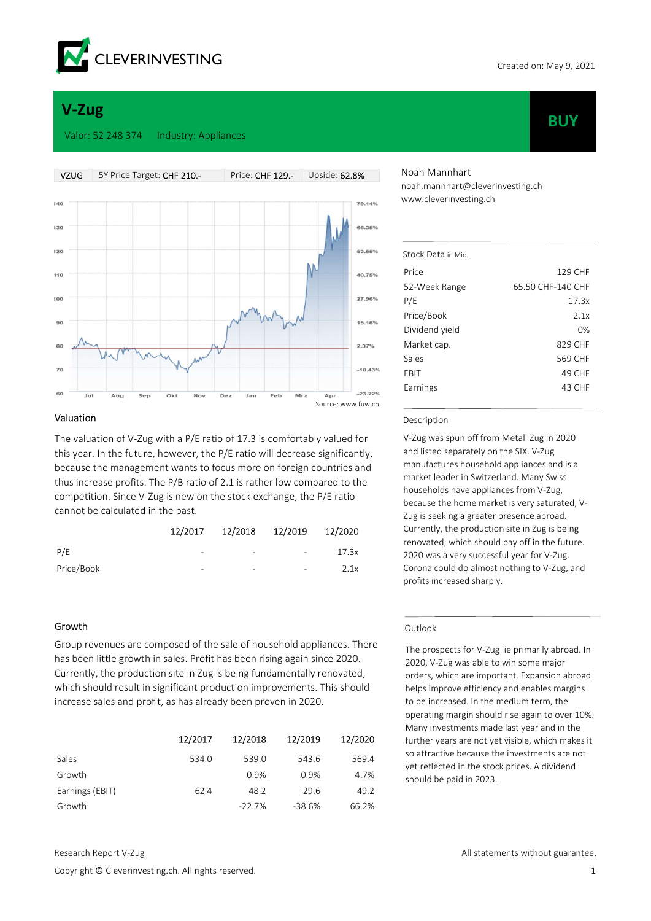

**BUY** 

# V-Zug

#### Valor: 52 248 374 Industry: Appliances



## Valuation

The valuation of V-Zug with a P/E ratio of 17.3 is comfortably valued for this year. In the future, however, the P/E ratio will decrease significantly, because the management wants to focus more on foreign countries and thus increase profits. The P/B ratio of 2.1 is rather low compared to the competition. Since V-Zug is new on the stock exchange, the P/E ratio cannot be calculated in the past.

|            |                          | 12/2017  12/2018  12/2019  12/2020 |                          |       |
|------------|--------------------------|------------------------------------|--------------------------|-------|
| P/F        | -                        | $\overline{\phantom{a}}$           | $\overline{\phantom{a}}$ | 17.3x |
| Price/Book | $\overline{\phantom{0}}$ | $\qquad \qquad \blacksquare$       | $\sim$                   | 2.1x  |

#### Growth

Group revenues are composed of the sale of household appliances. There has been little growth in sales. Profit has been rising again since 2020. Currently, the production site in Zug is being fundamentally renovated, which should result in significant production improvements. This should increase sales and profit, as has already been proven in 2020.

|                 | 12/2017 | 12/2018  | 12/2019  | 12/2020 |
|-----------------|---------|----------|----------|---------|
| Sales           | 534.0   | 539.0    | 543.6    | 569.4   |
| Growth          |         | 0.9%     | 0.9%     | 4.7%    |
| Earnings (EBIT) | 62.4    | 48.2     | 29.6     | 49.2    |
| Growth          |         | $-22.7%$ | $-38.6%$ | 66.2%   |

Copyright © Cleverinvesting.ch. All rights reserved. 1

Noah Mannhart noah.mannhart@cleverinvesting.ch www.cleverinvesting.ch

| Stock Data in Mio |                   |
|-------------------|-------------------|
| Price             | 129 CHF           |
| 52-Week Range     | 65.50 CHF-140 CHF |
| P/E               | 17.3x             |
| Price/Book        | 2.1x              |
| Dividend yield    | 0%                |
| Market cap.       | 829 CHF           |
| Sales             | 569 CHF           |
| EBIT              | 49 CHF            |
| Earnings          | 43 CHF            |
|                   |                   |

#### Description

V-Zug was spun off from Metall Zug in 2020 and listed separately on the SIX. V-Zug manufactures household appliances and is a market leader in Switzerland. Many Swiss households have appliances from V-Zug, because the home market is very saturated, V-Zug is seeking a greater presence abroad. Currently, the production site in Zug is being renovated, which should pay off in the future. 2020 was a very successful year for V-Zug. Corona could do almost nothing to V-Zug, and profits increased sharply.

#### Outlook

The prospects for V-Zug lie primarily abroad. In 2020, V-Zug was able to win some major orders, which are important. Expansion abroad helps improve efficiency and enables margins to be increased. In the medium term, the operating margin should rise again to over 10%. Many investments made last year and in the further years are not yet visible, which makes it so attractive because the investments are not yet reflected in the stock prices. A dividend should be paid in 2023.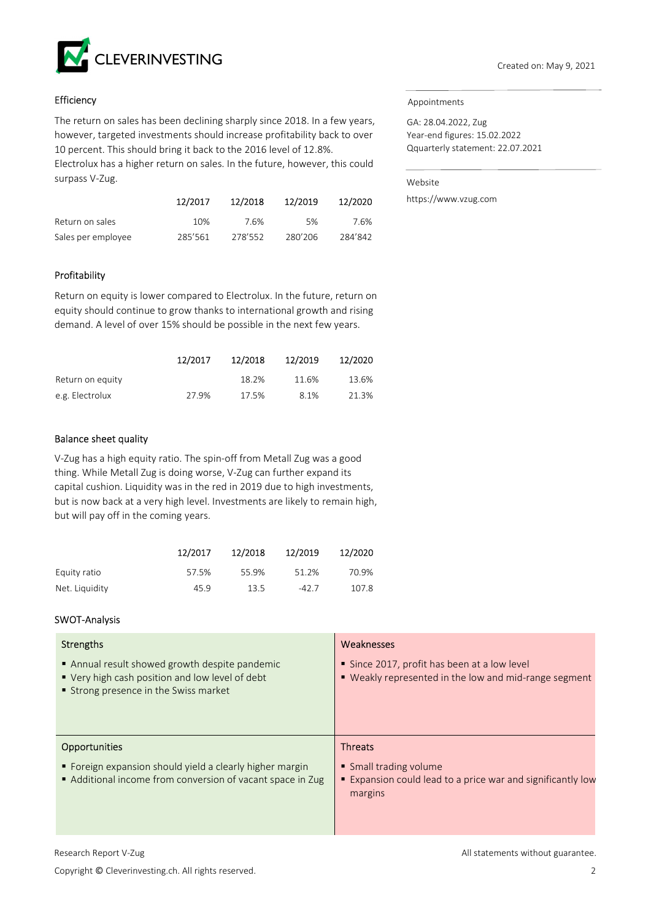

# **Efficiency**

The return on sales has been declining sharply since 2018. In a few years, however, targeted investments should increase profitability back to over 10 percent. This should bring it back to the 2016 level of 12.8%. Electrolux has a higher return on sales. In the future, however, this could surpass V-Zug.

|                    | 12/2017 | 12/2018 | 12/2019 | 12/2020 |
|--------------------|---------|---------|---------|---------|
| Return on sales    | 10%     | 7.6%    | 5%      | 7.6%    |
| Sales per employee | 285'561 | 278'552 | 280'206 | 284'842 |

# Profitability

Return on equity is lower compared to Electrolux. In the future, return on equity should continue to grow thanks to international growth and rising demand. A level of over 15% should be possible in the next few years.

|                  | 12/2017 | 12/2018 | 12/2019 | 12/2020 |
|------------------|---------|---------|---------|---------|
| Return on equity |         | 18.2%   | 11.6%   | 13.6%   |
| e.g. Electrolux  | 27.9%   | 17.5%   | 8.1%    | 21.3%   |

# Balance sheet quality

V-Zug has a high equity ratio. The spin-off from Metall Zug was a good thing. While Metall Zug is doing worse, V-Zug can further expand its capital cushion. Liquidity was in the red in 2019 due to high investments, but is now back at a very high level. Investments are likely to remain high, but will pay off in the coming years.

|                | 12/2017 | 12/2018 | 12/2019 | 12/2020 |
|----------------|---------|---------|---------|---------|
| Equity ratio   | 57.5%   | 55.9%   | 51.2%   | 70.9%   |
| Net. Liquidity | 45.9    | 13.5    | $-42.7$ | 107.8   |

# SWOT-Analysis

| Strengths<br>Annual result showed growth despite pandemic<br>■ Very high cash position and low level of debt<br>■ Strong presence in the Swiss market | Weaknesses<br>Since 2017, profit has been at a low level<br>■ Weakly represented in the low and mid-range segment  |
|-------------------------------------------------------------------------------------------------------------------------------------------------------|--------------------------------------------------------------------------------------------------------------------|
| <b>Opportunities</b><br>• Foreign expansion should yield a clearly higher margin<br>Additional income from conversion of vacant space in Zug          | <b>Threats</b><br>• Small trading volume<br>■ Expansion could lead to a price war and significantly low<br>margins |

Copyright © Cleverinvesting.ch. All rights reserved. 2

#### Appointments

GA: 28.04.2022, Zug Year-end figures: 15.02.2022 Qquarterly statement: 22.07.2021

Website

https://www.vzug.com